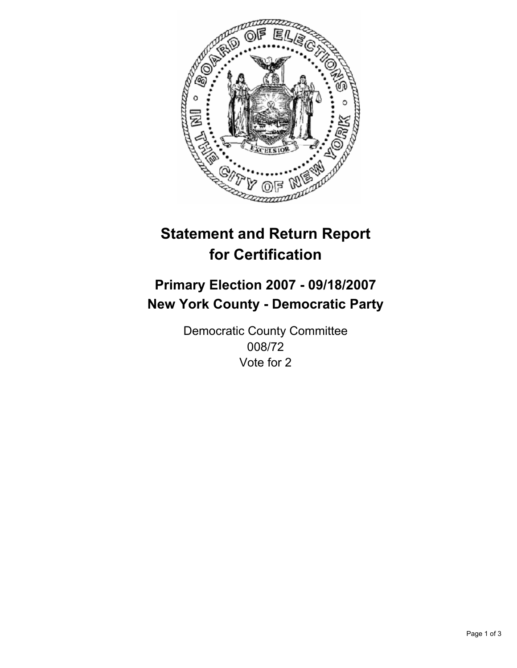

# **Statement and Return Report for Certification**

# **Primary Election 2007 - 09/18/2007 New York County - Democratic Party**

Democratic County Committee 008/72 Vote for 2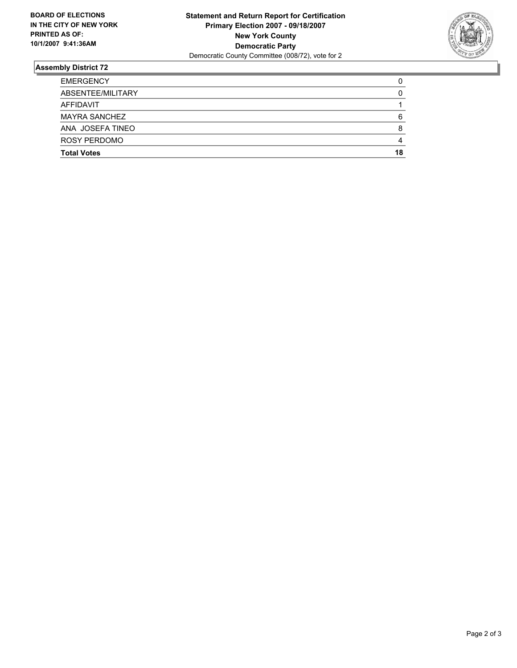

## **Assembly District 72**

| <b>EMERGENCY</b>     |    |
|----------------------|----|
| ABSENTEE/MILITARY    |    |
| AFFIDAVIT            |    |
| <b>MAYRA SANCHEZ</b> | 6  |
| ANA JOSEFA TINEO     |    |
| ROSY PERDOMO         |    |
| <b>Total Votes</b>   | 18 |